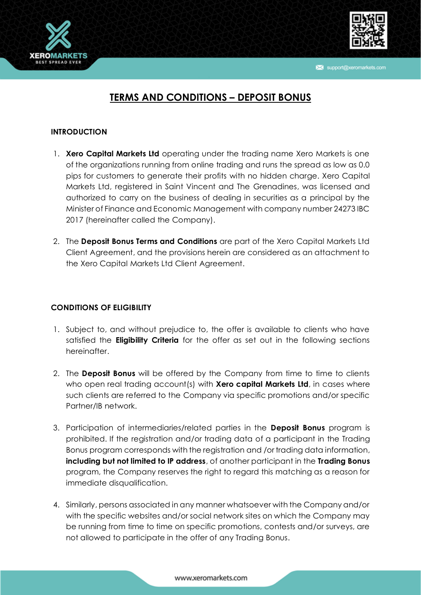

support@xeromarkets.com



# **TERMS AND CONDITIONS – DEPOSIT BONUS**

## **INTRODUCTION**

- 1. **Xero Capital Markets Ltd** operating under the trading name Xero Markets is one of the organizations running from online trading and runs the spread as low as 0.0 pips for customers to generate their profits with no hidden charge. Xero Capital Markets Ltd, registered in Saint Vincent and The Grenadines, was licensed and authorized to carry on the business of dealing in securities as a principal by the Minister of Finance and Economic Management with company number 24273 IBC 2017 (hereinafter called the Company).
- 2. The **Deposit Bonus Terms and Conditions** are part of the Xero Capital Markets Ltd Client Agreement, and the provisions herein are considered as an attachment to the Xero Capital Markets Ltd Client Agreement.

## **CONDITIONS OF ELIGIBILITY**

- 1. Subject to, and without prejudice to, the offer is available to clients who have satisfied the **Eligibility Criteria** for the offer as set out in the following sections hereinafter.
- 2. The **Deposit Bonus** will be offered by the Company from time to time to clients who open real trading account(s) with **Xero capital Markets Ltd**, in cases where such clients are referred to the Company via specific promotions and/or specific Partner/IB network.
- 3. Participation of intermediaries/related parties in the **Deposit Bonus** program is prohibited. If the registration and/or trading data of a participant in the Trading Bonus program corresponds with the registration and /or trading data information, **including but not limited to IP address**, of another participant in the **Trading Bonus** program, the Company reserves the right to regard this matching as a reason for immediate disqualification.
- 4. Similarly, persons associated in any manner whatsoever with the Company and/or with the specific websites and/or social network sites on which the Company may be running from time to time on specific promotions, contests and/or surveys, are not allowed to participate in the offer of any Trading Bonus.

#### www.xeromarkets.com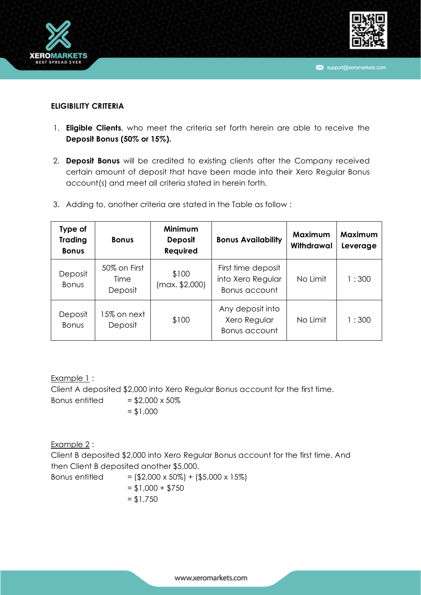



### **ELIGIBILITY CRITERIA**

- 1. **Eligible Clients**, who meet the criteria set forth herein are able to receive the **Deposit Bonus (50% or 15%).**
- 2. **Deposit Bonus** will be credited to existing clients after the Company received certain amount of deposit that have been made into their Xero Regular Bonus account(s) and meet all criteria stated in herein forth.
- 3. Adding to, another criteria are stated in the Table as follow :

| Type of<br><b>Trading</b><br><b>Bonus</b> | <b>Bonus</b>                    | Minimum<br><b>Deposit</b><br>Required | <b>Bonus Availability</b>                                | Maximum<br>Withdrawal | Maximum<br>Leverage |
|-------------------------------------------|---------------------------------|---------------------------------------|----------------------------------------------------------|-----------------------|---------------------|
| Deposit<br><b>Bonus</b>                   | 50% on First<br>Time<br>Deposit | \$100<br>(max. \$2,000)               | First time deposit<br>into Xero Regular<br>Bonus account | No Limit              | 1:300               |
| Deposit<br><b>Bonus</b>                   | 15% on next<br>Deposit          | \$100                                 | Any deposit into<br>Xero Regular<br>Bonus account        | No Limit              | 1:300               |

Example 1: Client A deposited \$2,000 into Xero Regular Bonus account for the first time. Bonus entitled  $= $2,000 \times 50\%$  $= $1,000$ 

Example 2 :

Client B deposited \$2,000 into Xero Regular Bonus account for the first time. And then Client B deposited another \$5,000.

Bonus entitled  $= (\$2,000 \times 50\% ) + (\$5,000 \times 15\%)$  $= $1,000 + $750$  $= $1,750$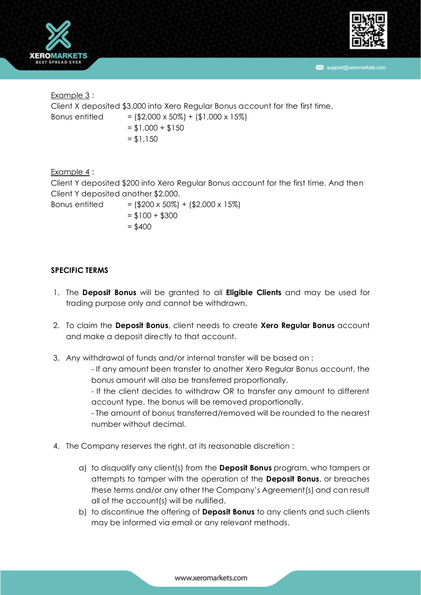



support@xeromarkets.com

Example 3 : Client X deposited \$3,000 into Xero Regular Bonus account for the first time. Bonus entitled  $= (\$2,000 \times 50\% ) + (\$1,000 \times 15\%)$  $= $1,000 + $150$  $= $1,150$ 

Example 4 : Client Y deposited \$200 into Xero Regular Bonus account for the first time. And then Client Y deposited another \$2,000. Bonus entitled  $= (\$200 \times 50\%) + (\$2,000 \times 15\%)$ 

 $= $100 + $300$  $= $400$ 

### **SPECIFIC TERMS**

- 1. The **Deposit Bonus** will be granted to all **Eligible Clients** and may be used for trading purpose only and cannot be withdrawn.
- 2. To claim the **Deposit Bonus**, client needs to create **Xero Regular Bonus** account and make a deposit directly to that account.
- 3. Any withdrawal of funds and/or internal transfer will be based on :

- If any amount been transfer to another Xero Regular Bonus account, the bonus amount will also be transferred proportionally.

- If the client decides to withdraw OR to transfer any amount to different account type, the bonus will be removed proportionally.

- The amount of bonus transferred/removed will be rounded to the nearest number without decimal.

- 4. The Company reserves the right, at its reasonable discretion :
	- a) to disqualify any client(s) from the **Deposit Bonus** program, who tampers or attempts to tamper with the operation of the **Deposit Bonus**, or breaches these terms and/or any other the Company's Agreement(s) and can result all of the account(s) will be nullified.
	- b) to discontinue the offering of **Deposit Bonus** to any clients and such clients may be informed via email or any relevant methods.